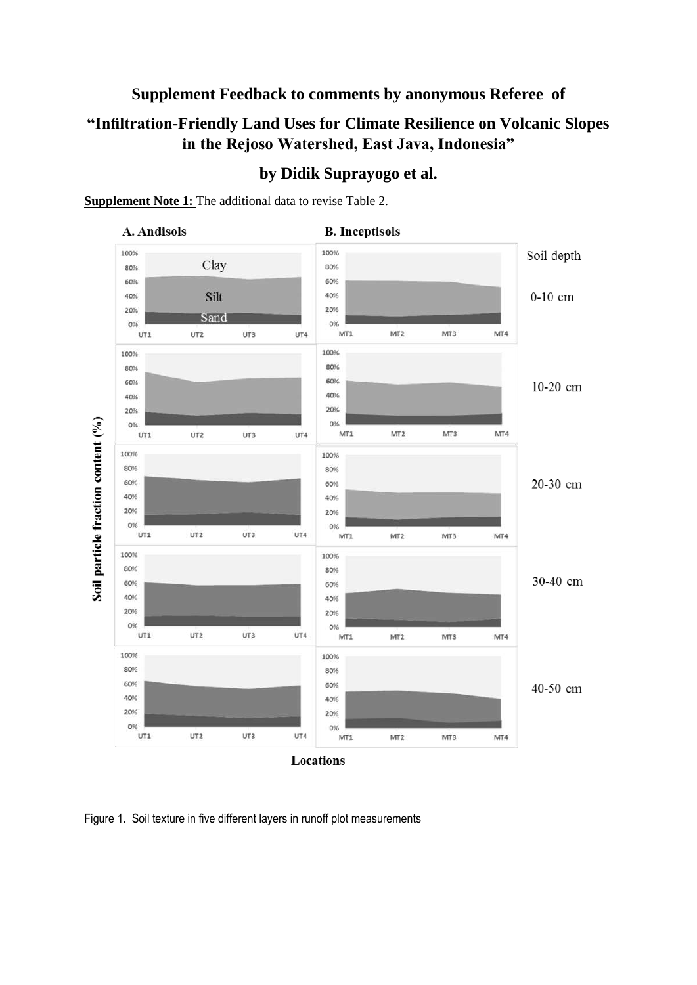## **Supplement Feedback to comments by anonymous Referee of**

# **"Infiltration-Friendly Land Uses for Climate Resilience on Volcanic Slopes in the Rejoso Watershed, East Java, Indonesia"**



## **by Didik Suprayogo et al.**

### **Supplement Note 1:** The additional data to revise Table 2.

Figure 1. Soil texture in five different layers in runoff plot measurements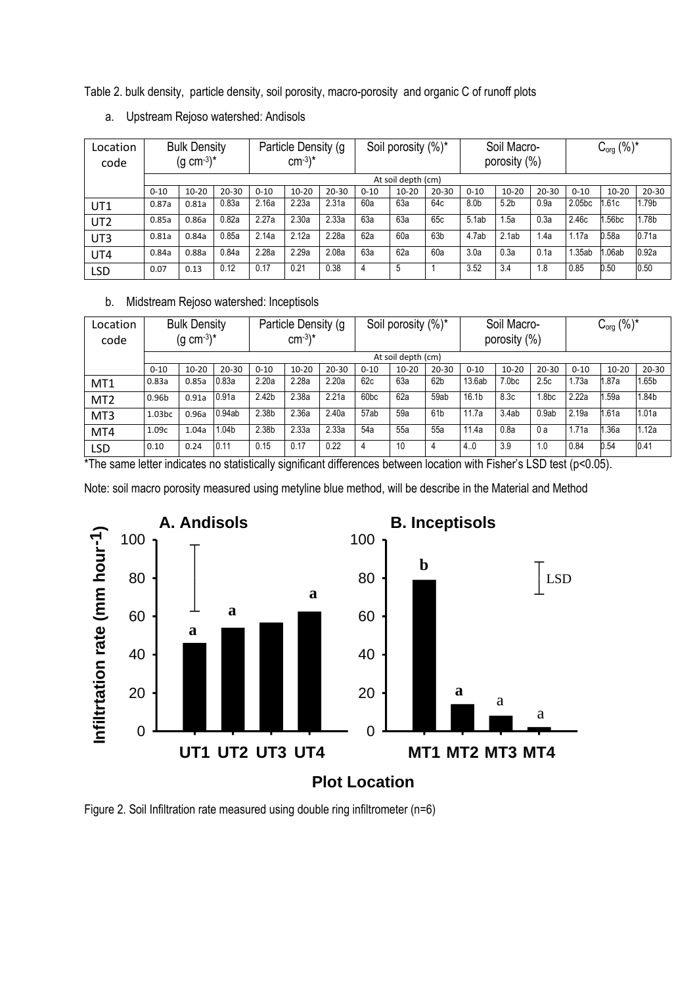Table 2. bulk density, particle density, soil porosity, macro-porosity and organic C of runoff plots

| Location<br>code | <b>Bulk Density</b><br>$(g cm^{-3})^*$ |           |           | Particle Density (g)<br>$cm^{-3}$ <sup>*</sup> |           | Soil porosity (%)* |          |           | Soil Macro-<br>porosity (%) |                  |                  | $C_{org}$ (%)* |          |           |           |
|------------------|----------------------------------------|-----------|-----------|------------------------------------------------|-----------|--------------------|----------|-----------|-----------------------------|------------------|------------------|----------------|----------|-----------|-----------|
|                  |                                        |           |           |                                                |           | At soil depth (cm) |          |           |                             |                  |                  |                |          |           |           |
|                  | $0 - 10$                               | $10 - 20$ | $20 - 30$ | $0 - 10$                                       | $10 - 20$ | $20 - 30$          | $0 - 10$ | $10 - 20$ | $20 - 30$                   | $0 - 10$         | $10 - 20$        | $20 - 30$      | $0 - 10$ | $10 - 20$ | $20 - 30$ |
| UT1              | 0.87a                                  | 0.81a     | 0.83a     | 2.16a                                          | 2.23a     | 2.31a              | 60a      | 63a       | 64c                         | 8.0 <sub>b</sub> | 5.2 <sub>b</sub> | 0.9a           | 2.05bc   | 1.61c     | 1.79b     |
| UT <sub>2</sub>  | 0.85a                                  | 0.86a     | 0.82a     | 2.27a                                          | 2.30a     | 2.33a              | 63а      | 63a       | 65c                         | 5.1ab            | 1.5a             | 0.3a           | 2.46c    | .56bc     | 1.78b     |
| UT3              | 0.81a                                  | 0.84a     | 0.85a     | 2.14a                                          | 2.12a     | 2.28a              | 62a      | 60a       | 63b                         | 4.7ab            | 2.1ab            | 1.4a           | 1.17a    | 0.58a     | 0.71a     |
| UT4              | 0.84a                                  | 0.88a     | 0.84a     | 2.28a                                          | 2.29a     | 2.08a              | 63a      | 62a       | 60a                         | 3.0a             | 0.3a             | 0.1a           | 1.35ab   | 1.06ab    | 0.92a     |
| <b>LSD</b>       | 0.07                                   | 0.13      | 0.12      | 0.17                                           | 0.21      | 0.38               | 4        | 5         |                             | 3.52             | 3.4              | 1.8            | 0.85     | 0.50      | 0.50      |

a. Upstream Rejoso watershed: Andisols

### b. Midstream Rejoso watershed: Inceptisols

| Location<br>code | <b>Bulk Density</b><br>$(g cm^{-3})^*$ |           |           | Particle Density (g)<br>$cm^{-3}$ <sup>*</sup> |                    | Soil porosity (%)* |                  | Soil Macro-<br>porosity (%) |                 | $C_{org}$ (%)*    |                   |                   |          |           |           |
|------------------|----------------------------------------|-----------|-----------|------------------------------------------------|--------------------|--------------------|------------------|-----------------------------|-----------------|-------------------|-------------------|-------------------|----------|-----------|-----------|
|                  |                                        |           |           |                                                | At soil depth (cm) |                    |                  |                             |                 |                   |                   |                   |          |           |           |
|                  | $0 - 10$                               | $10 - 20$ | $20 - 30$ | $0 - 10$                                       | $10 - 20$          | $20 - 30$          | $0 - 10$         | $10 - 20$                   | $20 - 30$       | $0 - 10$          | $10 - 20$         | $20 - 30$         | $0 - 10$ | $10 - 20$ | $20 - 30$ |
| MT1              | 0.83a                                  | 0.85a     | 0.83a     | 2.20a                                          | 2.28a              | 2.20a              | 62c              | 63a                         | 62 <sub>b</sub> | 13.6ab            | 7.0 <sub>bc</sub> | 2.5c              | 1.73a    | 1.87a     | l.65b     |
| MT <sub>2</sub>  | 0.96b                                  | 0.91a     | 0.91a     | 2.42 <sub>b</sub>                              | 2.38a              | 2.21a              | 60 <sub>bc</sub> | 62a                         | 59ab            | 16.1 <sub>b</sub> | 8.3c              | 1.8 <sub>bc</sub> | 2.22a    | 1.59a     | .84b      |
| MT3              | 1.03 <sub>bc</sub>                     | 0.96a     | 0.94ab    | 2.38b                                          | 2.36a              | 2.40a              | 57ab             | 59a                         | 61 <sub>b</sub> | 11.7a             | 3.4ab             | 0.9ab             | 2.19a    | 1.61a     | 1.01a     |
| MT4              | 1.09c                                  | 1.04a     | 1.04b     | 2.38b                                          | 2.33a              | 2.33a              | 54a              | 55a                         | 55a             | 11.4a             | 0.8a              | 0а                | 1.71a    | 1.36a     | 1.12a     |
| LSD              | 0.10                                   | 0.24      | 0.11      | 0.15                                           | 0.17               | 0.22               | 4                | 10                          | 4               | 4.0               | 3.9               | 1.0               | 0.84     | 0.54      | 0.41      |

\*The same letter indicates no statistically significant differences between location with Fisher's LSD test (p<0.05).

Note: soil macro porosity measured using metyline blue method, will be describe in the Material and Method



Figure 2. Soil Infiltration rate measured using double ring infiltrometer (n=6)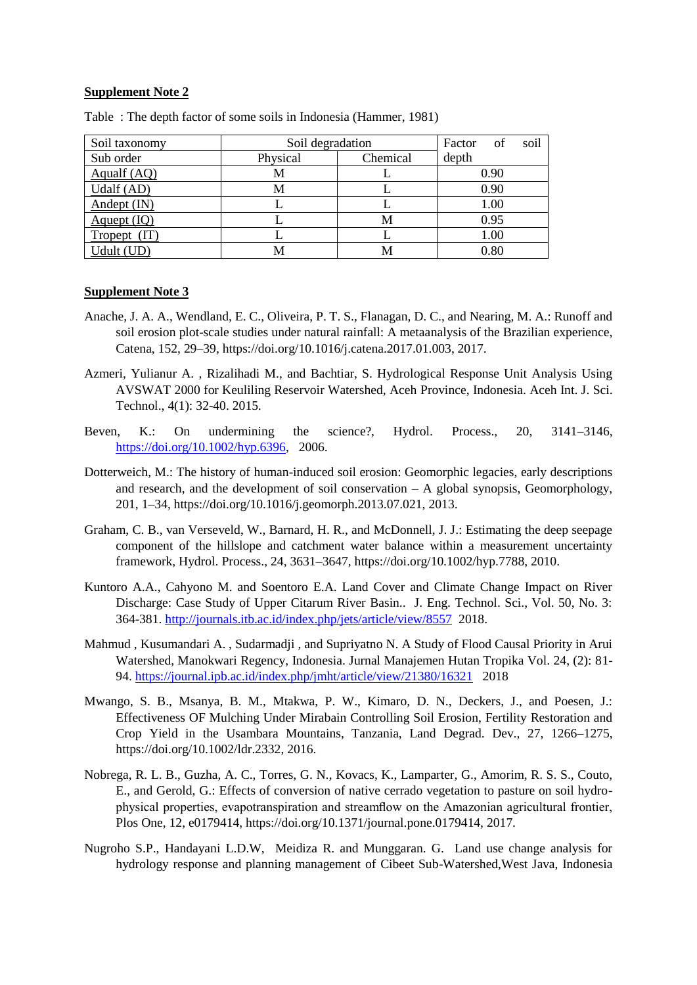#### **Supplement Note 2**

| Soil taxonomy           | Soil degradation     | soil<br>Factor<br>- of |          |
|-------------------------|----------------------|------------------------|----------|
| Sub order               | Physical<br>Chemical |                        | depth    |
| Aqualf (AQ)             |                      |                        | 0.90     |
| Udalf (AD)              | M                    |                        | 0.90     |
| $And$ ept $(IN)$        |                      |                        | 1.00     |
| A <sub>quept</sub> (IQ) |                      | М                      | 0.95     |
| Tropept                 |                      |                        | $1.00\,$ |
| Udult (UD)              |                      | M                      | 0.80     |

Table : The depth factor of some soils in Indonesia (Hammer, 1981)

#### **Supplement Note 3**

- Anache, J. A. A., Wendland, E. C., Oliveira, P. T. S., Flanagan, D. C., and Nearing, M. A.: Runoff and soil erosion plot-scale studies under natural rainfall: A metaanalysis of the Brazilian experience, Catena, 152, 29–39, https://doi.org/10.1016/j.catena.2017.01.003, 2017.
- Azmeri, Yulianur A. , Rizalihadi M., and Bachtiar, S. Hydrological Response Unit Analysis Using AVSWAT 2000 for Keuliling Reservoir Watershed, Aceh Province, Indonesia. Aceh Int. J. Sci. Technol., 4(1): 32-40. 2015.
- Beven, K.: On undermining the science?, Hydrol. Process., 20, 3141–3146, [https://doi.org/10.1002/hyp.6396,](https://doi.org/10.1002/hyp.6396) 2006.
- Dotterweich, M.: The history of human-induced soil erosion: Geomorphic legacies, early descriptions and research, and the development of soil conservation – A global synopsis, Geomorphology, 201, 1–34, https://doi.org/10.1016/j.geomorph.2013.07.021, 2013.
- Graham, C. B., van Verseveld, W., Barnard, H. R., and McDonnell, J. J.: Estimating the deep seepage component of the hillslope and catchment water balance within a measurement uncertainty framework, Hydrol. Process., 24, 3631–3647, https://doi.org/10.1002/hyp.7788, 2010.
- Kuntoro A.A., Cahyono M. and Soentoro E.A. Land Cover and Climate Change Impact on River Discharge: Case Study of Upper Citarum River Basin.. J. Eng. Technol. Sci., Vol. 50, No. 3: 364-381.<http://journals.itb.ac.id/index.php/jets/article/view/8557>2018.
- Mahmud , Kusumandari A. , Sudarmadji , and Supriyatno N. A Study of Flood Causal Priority in Arui Watershed, Manokwari Regency, Indonesia. Jurnal Manajemen Hutan Tropika Vol. 24, (2): 81- 94.<https://journal.ipb.ac.id/index.php/jmht/article/view/21380/16321>2018
- Mwango, S. B., Msanya, B. M., Mtakwa, P. W., Kimaro, D. N., Deckers, J., and Poesen, J.: Effectiveness OF Mulching Under Mirabain Controlling Soil Erosion, Fertility Restoration and Crop Yield in the Usambara Mountains, Tanzania, Land Degrad. Dev., 27, 1266–1275, https://doi.org/10.1002/ldr.2332, 2016.
- Nobrega, R. L. B., Guzha, A. C., Torres, G. N., Kovacs, K., Lamparter, G., Amorim, R. S. S., Couto, E., and Gerold, G.: Effects of conversion of native cerrado vegetation to pasture on soil hydrophysical properties, evapotranspiration and streamflow on the Amazonian agricultural frontier, Plos One, 12, e0179414, https://doi.org/10.1371/journal.pone.0179414, 2017.
- Nugroho S.P., Handayani L.D.W, Meidiza R. and Munggaran. G. Land use change analysis for hydrology response and planning management of Cibeet Sub-Watershed,West Java, Indonesia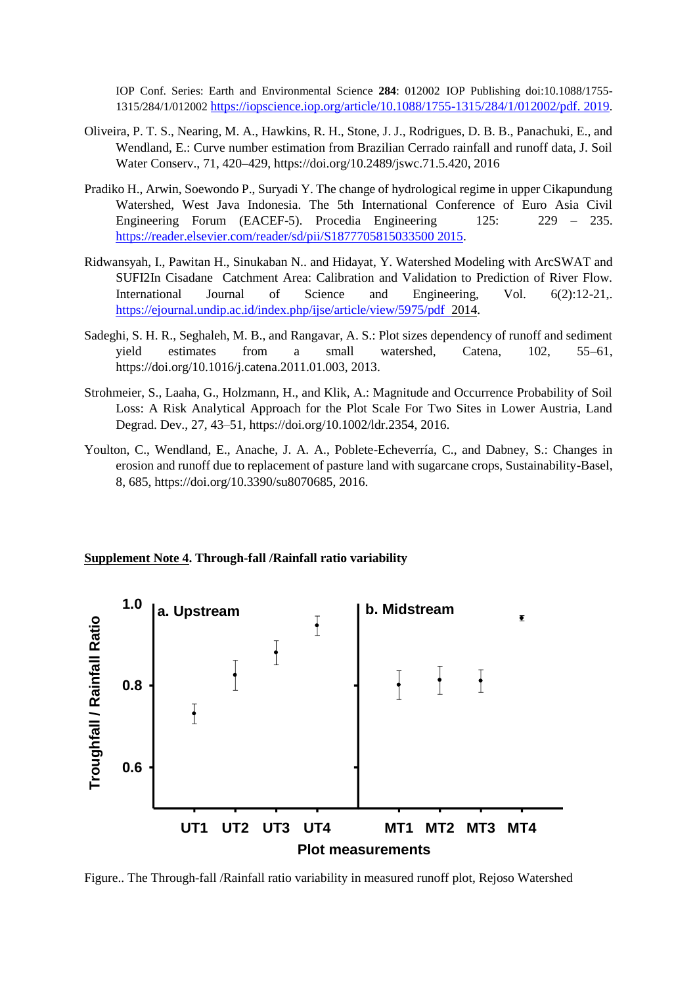IOP Conf. Series: Earth and Environmental Science **284**: 012002 IOP Publishing doi:10.1088/1755- 1315/284/1/012002 [https://iopscience.iop.org/article/10.1088/1755-1315/284/1/012002/pdf.](https://iopscience.iop.org/article/10.1088/1755-1315/284/1/012002/pdf.%202019) 2019.

- Oliveira, P. T. S., Nearing, M. A., Hawkins, R. H., Stone, J. J., Rodrigues, D. B. B., Panachuki, E., and Wendland, E.: Curve number estimation from Brazilian Cerrado rainfall and runoff data, J. Soil Water Conserv., 71, 420–429, https://doi.org/10.2489/jswc.71.5.420, 2016
- Pradiko H., Arwin, Soewondo P., Suryadi Y. The change of hydrological regime in upper Cikapundung Watershed, West Java Indonesia. The 5th International Conference of Euro Asia Civil Engineering Forum (EACEF-5). Procedia Engineering 125: 229 – 235. [https://reader.elsevier.com/reader/sd/pii/S1877705815033500 2015.](https://reader.elsevier.com/reader/sd/pii/S1877705815033500%202015)
- Ridwansyah, I., Pawitan H., Sinukaban N.. and Hidayat, Y. Watershed Modeling with ArcSWAT and SUFI2In Cisadane Catchment Area: Calibration and Validation to Prediction of River Flow. International Journal of Science and Engineering, Vol. 6(2):12-21,. [https://ejournal.undip.ac.id/index.php/ijse/article/view/5975/pdf 2014.](https://ejournal.undip.ac.id/index.php/ijse/article/view/5975/pdf%20%202014)
- Sadeghi, S. H. R., Seghaleh, M. B., and Rangavar, A. S.: Plot sizes dependency of runoff and sediment yield estimates from a small watershed, Catena, 102, 55–61, https://doi.org/10.1016/j.catena.2011.01.003, 2013.
- Strohmeier, S., Laaha, G., Holzmann, H., and Klik, A.: Magnitude and Occurrence Probability of Soil Loss: A Risk Analytical Approach for the Plot Scale For Two Sites in Lower Austria, Land Degrad. Dev., 27, 43–51, https://doi.org/10.1002/ldr.2354, 2016.
- Youlton, C., Wendland, E., Anache, J. A. A., Poblete-Echeverría, C., and Dabney, S.: Changes in erosion and runoff due to replacement of pasture land with sugarcane crops, Sustainability-Basel, 8, 685, https://doi.org/10.3390/su8070685, 2016.





Figure.. The Through-fall /Rainfall ratio variability in measured runoff plot, Rejoso Watershed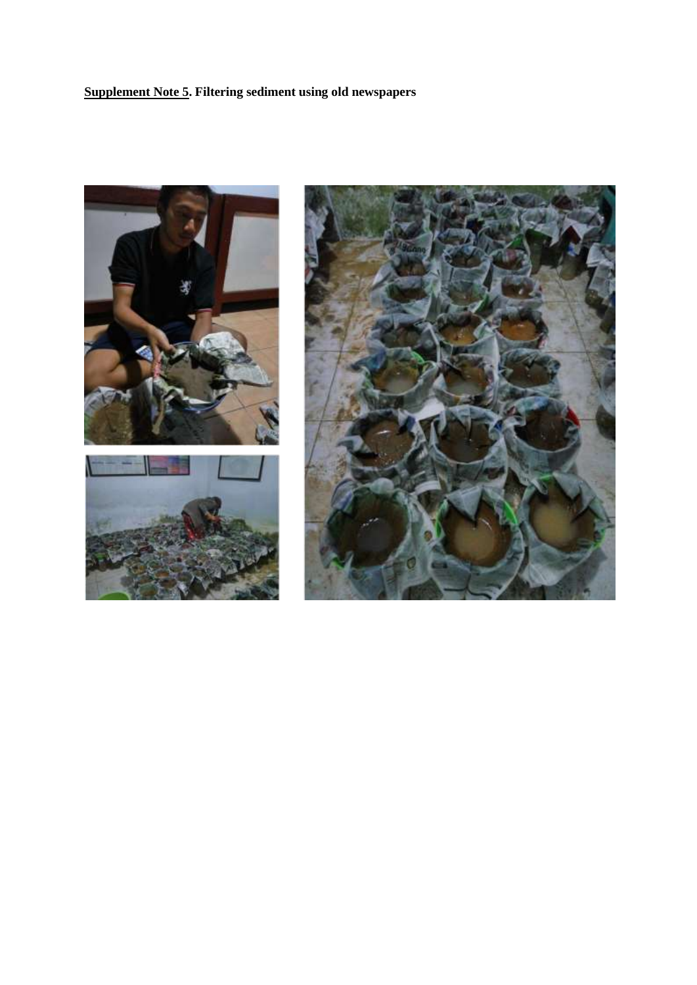# **Supplement Note 5. Filtering sediment using old newspapers**

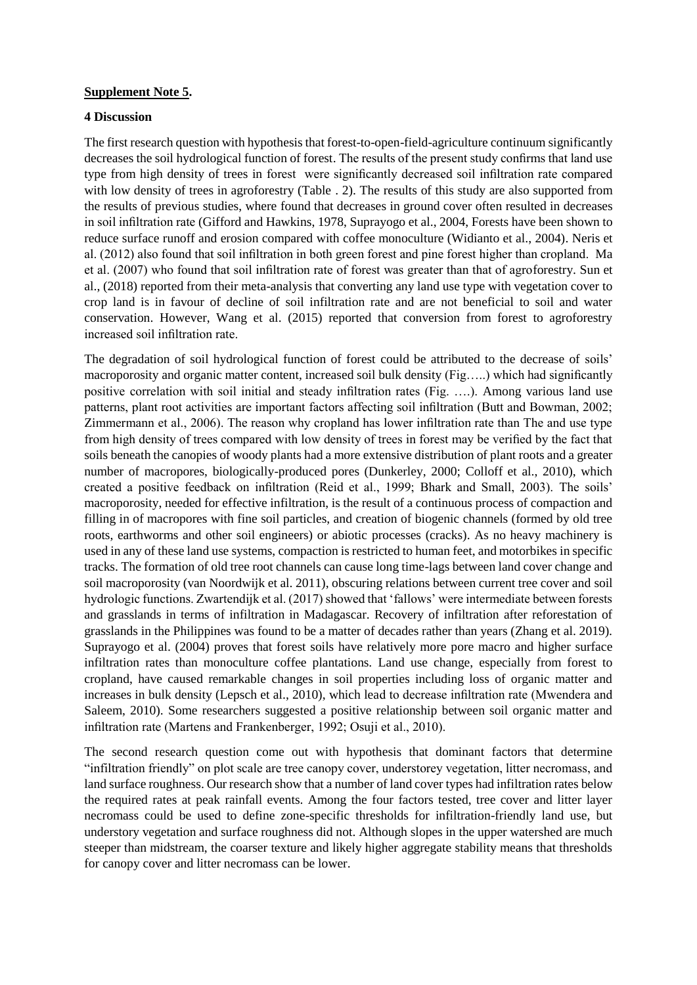#### **Supplement Note 5.**

#### **4 Discussion**

The first research question with hypothesis that forest-to-open-field-agriculture continuum significantly decreases the soil hydrological function of forest. The results of the present study confirms that land use type from high density of trees in forest were significantly decreased soil infiltration rate compared with low density of trees in agroforestry (Table . 2). The results of this study are also supported from the results of previous studies, where found that decreases in ground cover often resulted in decreases in soil infiltration rate (Gifford and Hawkins, 1978, Suprayogo et al., 2004, Forests have been shown to reduce surface runoff and erosion compared with coffee monoculture (Widianto et al., 2004). Neris et al. (2012) also found that soil infiltration in both green forest and pine forest higher than cropland. Ma et al. (2007) who found that soil infiltration rate of forest was greater than that of agroforestry. Sun et al., (2018) reported from their meta-analysis that converting any land use type with vegetation cover to crop land is in favour of decline of soil infiltration rate and are not beneficial to soil and water conservation. However, Wang et al. (2015) reported that conversion from forest to agroforestry increased soil infiltration rate.

The degradation of soil hydrological function of forest could be attributed to the decrease of soils' macroporosity and organic matter content, increased soil bulk density (Fig…..) which had significantly positive correlation with soil initial and steady infiltration rates (Fig. ….). Among various land use patterns, plant root activities are important factors affecting soil infiltration (Butt and Bowman, 2002; Zimmermann et al., 2006). The reason why cropland has lower infiltration rate than The and use type from high density of trees compared with low density of trees in forest may be verified by the fact that soils beneath the canopies of woody plants had a more extensive distribution of plant roots and a greater number of macropores, biologically-produced pores (Dunkerley, 2000; Colloff et al., 2010), which created a positive feedback on infiltration (Reid et al., 1999; Bhark and Small, 2003). The soils' macroporosity, needed for effective infiltration, is the result of a continuous process of compaction and filling in of macropores with fine soil particles, and creation of biogenic channels (formed by old tree roots, earthworms and other soil engineers) or abiotic processes (cracks). As no heavy machinery is used in any of these land use systems, compaction is restricted to human feet, and motorbikes in specific tracks. The formation of old tree root channels can cause long time-lags between land cover change and soil macroporosity (van Noordwijk et al. 2011), obscuring relations between current tree cover and soil hydrologic functions. Zwartendijk et al. (2017) showed that 'fallows' were intermediate between forests and grasslands in terms of infiltration in Madagascar. Recovery of infiltration after reforestation of grasslands in the Philippines was found to be a matter of decades rather than years (Zhang et al. 2019). Suprayogo et al. (2004) proves that forest soils have relatively more pore macro and higher surface infiltration rates than monoculture coffee plantations. Land use change, especially from forest to cropland, have caused remarkable changes in soil properties including loss of organic matter and increases in bulk density (Lepsch et al., 2010), which lead to decrease infiltration rate (Mwendera and Saleem, 2010). Some researchers suggested a positive relationship between soil organic matter and infiltration rate (Martens and Frankenberger, 1992; Osuji et al., 2010).

The second research question come out with hypothesis that dominant factors that determine "infiltration friendly" on plot scale are tree canopy cover, understorey vegetation, litter necromass, and land surface roughness. Our research show that a number of land cover types had infiltration rates below the required rates at peak rainfall events. Among the four factors tested, tree cover and litter layer necromass could be used to define zone-specific thresholds for infiltration-friendly land use, but understory vegetation and surface roughness did not. Although slopes in the upper watershed are much steeper than midstream, the coarser texture and likely higher aggregate stability means that thresholds for canopy cover and litter necromass can be lower.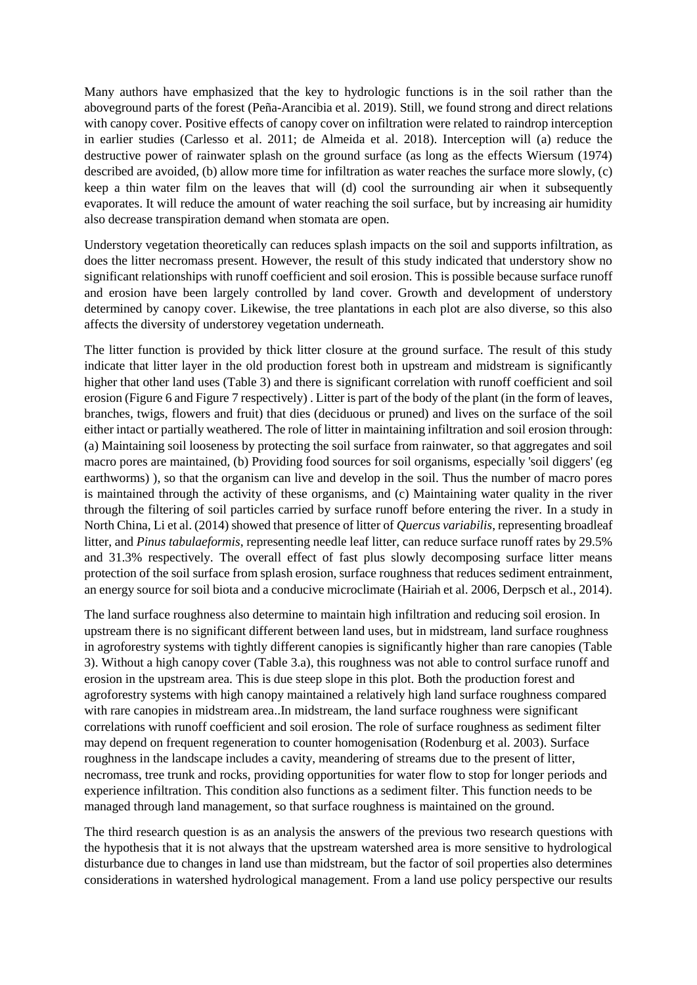Many authors have emphasized that the key to hydrologic functions is in the soil rather than the aboveground parts of the forest (Peña-Arancibia et al. 2019). Still, we found strong and direct relations with canopy cover. Positive effects of canopy cover on infiltration were related to raindrop interception in earlier studies (Carlesso et al. 2011; de Almeida et al. 2018). Interception will (a) reduce the destructive power of rainwater splash on the ground surface (as long as the effects Wiersum (1974) described are avoided, (b) allow more time for infiltration as water reaches the surface more slowly, (c) keep a thin water film on the leaves that will (d) cool the surrounding air when it subsequently evaporates. It will reduce the amount of water reaching the soil surface, but by increasing air humidity also decrease transpiration demand when stomata are open.

Understory vegetation theoretically can reduces splash impacts on the soil and supports infiltration, as does the litter necromass present. However, the result of this study indicated that understory show no significant relationships with runoff coefficient and soil erosion. This is possible because surface runoff and erosion have been largely controlled by land cover. Growth and development of understory determined by canopy cover. Likewise, the tree plantations in each plot are also diverse, so this also affects the diversity of understorey vegetation underneath.

The litter function is provided by thick litter closure at the ground surface. The result of this study indicate that litter layer in the old production forest both in upstream and midstream is significantly higher that other land uses (Table 3) and there is significant correlation with runoff coefficient and soil erosion (Figure 6 and Figure 7 respectively) . Litter is part of the body of the plant (in the form of leaves, branches, twigs, flowers and fruit) that dies (deciduous or pruned) and lives on the surface of the soil either intact or partially weathered. The role of litter in maintaining infiltration and soil erosion through: (a) Maintaining soil looseness by protecting the soil surface from rainwater, so that aggregates and soil macro pores are maintained, (b) Providing food sources for soil organisms, especially 'soil diggers' (eg earthworms) ), so that the organism can live and develop in the soil. Thus the number of macro pores is maintained through the activity of these organisms, and (c) Maintaining water quality in the river through the filtering of soil particles carried by surface runoff before entering the river. In a study in North China, Li et al. (2014) showed that presence of litter of *Quercus variabilis*, representing broadleaf litter, and *Pinus tabulaeformis*, representing needle leaf litter, can reduce surface runoff rates by 29.5% and 31.3% respectively. The overall effect of fast plus slowly decomposing surface litter means protection of the soil surface from splash erosion, surface roughness that reduces sediment entrainment, an energy source for soil biota and a conducive microclimate (Hairiah et al. 2006, Derpsch et al., 2014).

The land surface roughness also determine to maintain high infiltration and reducing soil erosion. In upstream there is no significant different between land uses, but in midstream, land surface roughness in agroforestry systems with tightly different canopies is significantly higher than rare canopies (Table 3). Without a high canopy cover (Table 3.a), this roughness was not able to control surface runoff and erosion in the upstream area. This is due steep slope in this plot. Both the production forest and agroforestry systems with high canopy maintained a relatively high land surface roughness compared with rare canopies in midstream area..In midstream, the land surface roughness were significant correlations with runoff coefficient and soil erosion. The role of surface roughness as sediment filter may depend on frequent regeneration to counter homogenisation (Rodenburg et al. 2003). Surface roughness in the landscape includes a cavity, meandering of streams due to the present of litter, necromass, tree trunk and rocks, providing opportunities for water flow to stop for longer periods and experience infiltration. This condition also functions as a sediment filter. This function needs to be managed through land management, so that surface roughness is maintained on the ground.

The third research question is as an analysis the answers of the previous two research questions with the hypothesis that it is not always that the upstream watershed area is more sensitive to hydrological disturbance due to changes in land use than midstream, but the factor of soil properties also determines considerations in watershed hydrological management. From a land use policy perspective our results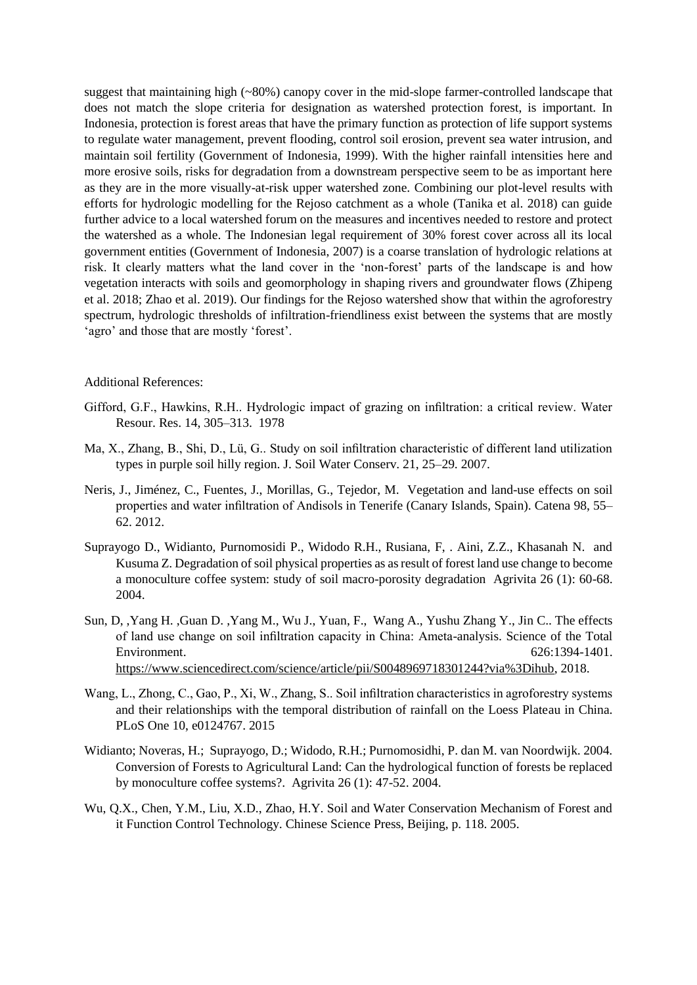suggest that maintaining high (~80%) canopy cover in the mid-slope farmer-controlled landscape that does not match the slope criteria for designation as watershed protection forest, is important. In Indonesia, protection is forest areas that have the primary function as protection of life support systems to regulate water management, prevent flooding, control soil erosion, prevent sea water intrusion, and maintain soil fertility (Government of Indonesia, 1999). With the higher rainfall intensities here and more erosive soils, risks for degradation from a downstream perspective seem to be as important here as they are in the more visually-at-risk upper watershed zone. Combining our plot-level results with efforts for hydrologic modelling for the Rejoso catchment as a whole (Tanika et al. 2018) can guide further advice to a local watershed forum on the measures and incentives needed to restore and protect the watershed as a whole. The Indonesian legal requirement of 30% forest cover across all its local government entities (Government of Indonesia, 2007) is a coarse translation of hydrologic relations at risk. It clearly matters what the land cover in the 'non-forest' parts of the landscape is and how vegetation interacts with soils and geomorphology in shaping rivers and groundwater flows (Zhipeng et al. 2018; Zhao et al. 2019). Our findings for the Rejoso watershed show that within the agroforestry spectrum, hydrologic thresholds of infiltration-friendliness exist between the systems that are mostly 'agro' and those that are mostly 'forest'.

#### Additional References:

- Gifford, G.F., Hawkins, R.H.. Hydrologic impact of grazing on infiltration: a critical review. Water Resour. Res. 14, 305–313. 1978
- Ma, X., Zhang, B., Shi, D., Lü, G.. Study on soil infiltration characteristic of different land utilization types in purple soil hilly region. J. Soil Water Conserv. 21, 25–29. 2007.
- Neris, J., Jiménez, C., Fuentes, J., Morillas, G., Tejedor, M. Vegetation and land-use effects on soil properties and water infiltration of Andisols in Tenerife (Canary Islands, Spain). Catena 98, 55– 62. 2012.
- Suprayogo D., Widianto, Purnomosidi P., Widodo R.H., Rusiana, F, . Aini, Z.Z., Khasanah N. and Kusuma Z. Degradation of soil physical properties as as result of forest land use change to become a monoculture coffee system: study of soil macro-porosity degradation Agrivita 26 (1): 60-68. 2004.
- Sun, D, ,Yang H. ,Guan D. ,Yang M., Wu J., Yuan, F., Wang A., Yushu Zhang Y., Jin C.. The effects of land use change on soil infiltration capacity in China: Ameta-analysis. Science of the Total Environment. 626:1394-1401. [https://www.sciencedirect.com/science/article/pii/S0048969718301244?via%3Dihub,](https://www.sciencedirect.com/science/article/pii/S0048969718301244?via%3Dihub) 2018.
- Wang, L., Zhong, C., Gao, P., Xi, W., Zhang, S.. Soil infiltration characteristics in agroforestry systems and their relationships with the temporal distribution of rainfall on the Loess Plateau in China. PLoS One 10, e0124767. 2015
- Widianto; Noveras, H.; Suprayogo, D.; Widodo, R.H.; Purnomosidhi, P. dan M. van Noordwijk. 2004. Conversion of Forests to Agricultural Land: Can the hydrological function of forests be replaced by monoculture coffee systems?. Agrivita 26 (1): 47-52. 2004.
- Wu, Q.X., Chen, Y.M., Liu, X.D., Zhao, H.Y. Soil and Water Conservation Mechanism of Forest and it Function Control Technology. Chinese Science Press, Beijing, p. 118. 2005.